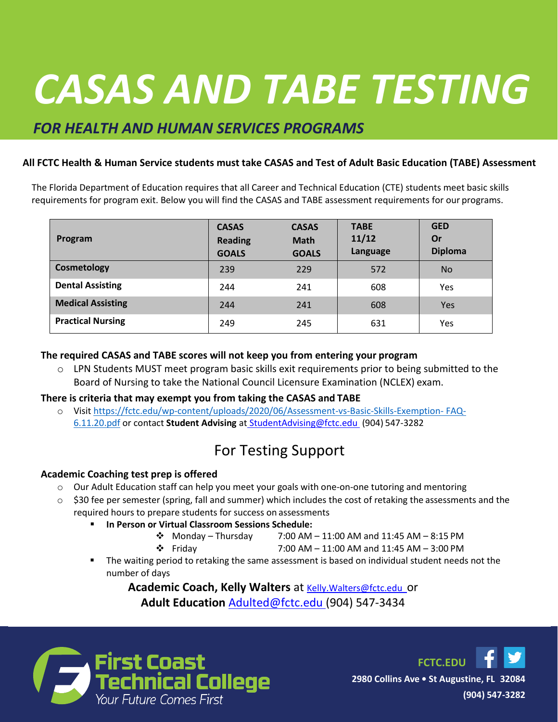## The Florida Department of Education requires that all studies that all studies in a Career and Technical Educa (CTE) program meet basic skills requirements for program exit. Below you will find the CASAS and TABE *CASAS AND TABE TESTING*

## *FOR HEALTH AND HUMAN SERVICES PROGRAMS*

### **All FCTC Health & Human Service students must take CASAS and Test of Adult Basic Education (TABE) Assessment**

The Florida Department of Education requires that all Career and Technical Education (CTE) students meet basic skills requirements for program exit. Below you will find the CASAS and TABE assessment requirements for our programs.

| Program                  | <b>CASAS</b><br><b>Reading</b><br><b>GOALS</b> | <b>CASAS</b><br><b>Math</b><br><b>GOALS</b> | <b>TABE</b><br>11/12<br>Language | <b>GED</b><br>Or<br><b>Diploma</b> |
|--------------------------|------------------------------------------------|---------------------------------------------|----------------------------------|------------------------------------|
| Cosmetology              | 239                                            | 229                                         | 572                              | <b>No</b>                          |
| <b>Dental Assisting</b>  | 244                                            | 241                                         | 608                              | Yes                                |
| <b>Medical Assisting</b> | 244                                            | 241                                         | 608                              | <b>Yes</b>                         |
| <b>Practical Nursing</b> | 249                                            | 245                                         | 631                              | Yes                                |

#### **The required CASAS and TABE scores will not keep you from entering your program**

 $\circ$  LPN Students MUST meet program basic skills exit requirements prior to being submitted to the Board of Nursing to take the National Council Licensure Examination (NCLEX) exam.

#### **There is criteria that may exempt you from taking the CASAS and TABE**

o Visit [https://fctc.edu/wp-content/uploads/2020/06/Assessment-vs-Basic-Skills-Exemption-](https://fctc.edu/wp-content/uploads/2020/06/Assessment-vs-Basic-Skills-Exemption-FAQ-6.11.20.pdf) [FAQ-](https://fctc.edu/wp-content/uploads/2020/06/Assessment-vs-Basic-Skills-Exemption-FAQ-6.11.20.pdf)[6.11.20.pdf](https://fctc.edu/wp-content/uploads/2020/06/Assessment-vs-Basic-Skills-Exemption-FAQ-6.11.20.pdf) or contact **Student Advising** at [StudentAdvising@fctc.edu](mailto:%20StudentAdvising@fctc.edu) (904) 547-3282

# For Testing Support

### **Academic Coaching test prep is offered**

- o Our Adult Education staff can help you meet your goals with one-on-one tutoring and mentoring
- $\circ$  \$30 fee per semester (spring, fall and summer) which includes the cost of retaking the assessments and the required hours to prepare students for success on assessments
	- **In Person or Virtual Classroom Sessions Schedule:**
		- ❖ Monday Thursday 7:00 AM 11:00 AM and 11:45 AM 8:15 PM

❖ Friday 7:00 AM – 11:00 AM and 11:45 AM – 3:00 PM

The waiting period to retaking the same assessment is based on individual student needs not the number of days

Academic Coach, Kelly Walters at **Kelly.Walters@fctc.edu\_Or Adult Education** [Adulted@fctc.edu \(](mailto:Adulted@fctc.edu)904) 547-3434